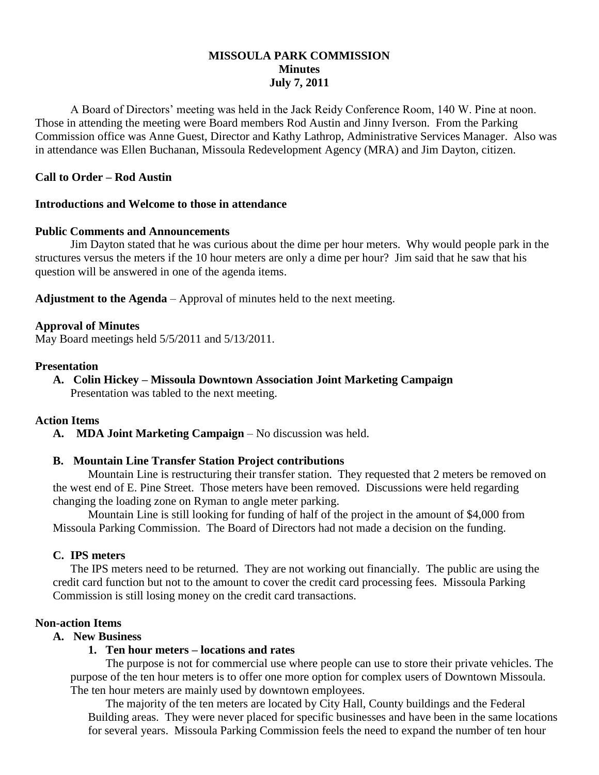# **MISSOULA PARK COMMISSION Minutes July 7, 2011**

A Board of Directors' meeting was held in the Jack Reidy Conference Room, 140 W. Pine at noon. Those in attending the meeting were Board members Rod Austin and Jinny Iverson. From the Parking Commission office was Anne Guest, Director and Kathy Lathrop, Administrative Services Manager. Also was in attendance was Ellen Buchanan, Missoula Redevelopment Agency (MRA) and Jim Dayton, citizen.

### **Call to Order – Rod Austin**

### **Introductions and Welcome to those in attendance**

### **Public Comments and Announcements**

Jim Dayton stated that he was curious about the dime per hour meters. Why would people park in the structures versus the meters if the 10 hour meters are only a dime per hour? Jim said that he saw that his question will be answered in one of the agenda items.

**Adjustment to the Agenda** – Approval of minutes held to the next meeting.

### **Approval of Minutes**

May Board meetings held 5/5/2011 and 5/13/2011.

#### **Presentation**

**A. Colin Hickey – Missoula Downtown Association Joint Marketing Campaign**

Presentation was tabled to the next meeting.

### **Action Items**

**A. MDA Joint Marketing Campaign** – No discussion was held.

### **B. Mountain Line Transfer Station Project contributions**

Mountain Line is restructuring their transfer station. They requested that 2 meters be removed on the west end of E. Pine Street. Those meters have been removed. Discussions were held regarding changing the loading zone on Ryman to angle meter parking.

Mountain Line is still looking for funding of half of the project in the amount of \$4,000 from Missoula Parking Commission. The Board of Directors had not made a decision on the funding.

### **C. IPS meters**

The IPS meters need to be returned. They are not working out financially. The public are using the credit card function but not to the amount to cover the credit card processing fees. Missoula Parking Commission is still losing money on the credit card transactions.

### **Non-action Items**

#### **A. New Business**

### **1. Ten hour meters – locations and rates**

The purpose is not for commercial use where people can use to store their private vehicles. The purpose of the ten hour meters is to offer one more option for complex users of Downtown Missoula. The ten hour meters are mainly used by downtown employees.

The majority of the ten meters are located by City Hall, County buildings and the Federal Building areas. They were never placed for specific businesses and have been in the same locations for several years. Missoula Parking Commission feels the need to expand the number of ten hour